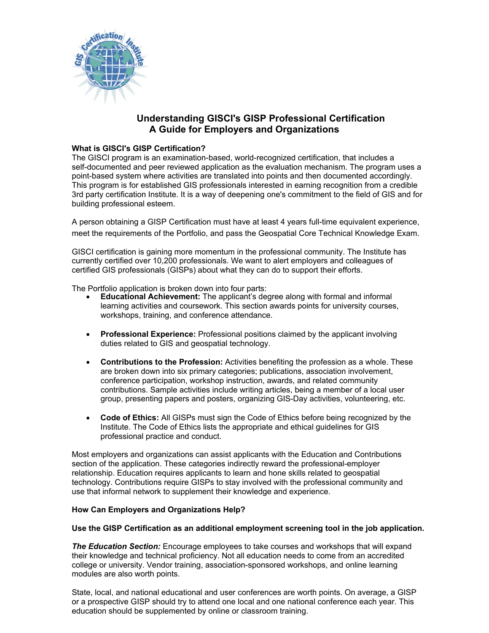

# **Understanding GISCI's GISP Professional Certification A Guide for Employers and Organizations**

## **What is GISCI's GISP Certification?**

The GISCI program is an examination-based, world-recognized certification, that includes a self-documented and peer reviewed application as the evaluation mechanism. The program uses a point-based system where activities are translated into points and then documented accordingly. This program is for established GIS professionals interested in earning recognition from a credible 3rd party certification Institute. It is a way of deepening one's commitment to the field of GIS and for building professional esteem.

A person obtaining a GISP Certification must have at least 4 years full-time equivalent experience, meet the requirements of the Portfolio, and pass the Geospatial Core Technical Knowledge Exam.

GISCI certification is gaining more momentum in the professional community. The Institute has currently certified over 10,200 professionals. We want to alert employers and colleagues of certified GIS professionals (GISPs) about what they can do to support their efforts.

The Portfolio application is broken down into four parts:

- **Educational Achievement:** The applicant's degree along with formal and informal learning activities and coursework. This section awards points for university courses, workshops, training, and conference attendance.
- **Professional Experience:** Professional positions claimed by the applicant involving duties related to GIS and geospatial technology.
- **Contributions to the Profession:** Activities benefiting the profession as a whole. These are broken down into six primary categories; publications, association involvement, conference participation, workshop instruction, awards, and related community contributions. Sample activities include writing articles, being a member of a local user group, presenting papers and posters, organizing GIS-Day activities, volunteering, etc.
- **Code of Ethics:** All GISPs must sign the Code of Ethics before being recognized by the Institute. The Code of Ethics lists the appropriate and ethical guidelines for GIS professional practice and conduct.

Most employers and organizations can assist applicants with the Education and Contributions section of the application. These categories indirectly reward the professional-employer relationship. Education requires applicants to learn and hone skills related to geospatial technology. Contributions require GISPs to stay involved with the professional community and use that informal network to supplement their knowledge and experience.

### **How Can Employers and Organizations Help?**

#### **Use the GISP Certification as an additional employment screening tool in the job application.**

**The Education Section:** Encourage employees to take courses and workshops that will expand their knowledge and technical proficiency. Not all education needs to come from an accredited college or university. Vendor training, association-sponsored workshops, and online learning modules are also worth points.

State, local, and national educational and user conferences are worth points. On average, a GISP or a prospective GISP should try to attend one local and one national conference each year. This education should be supplemented by online or classroom training.